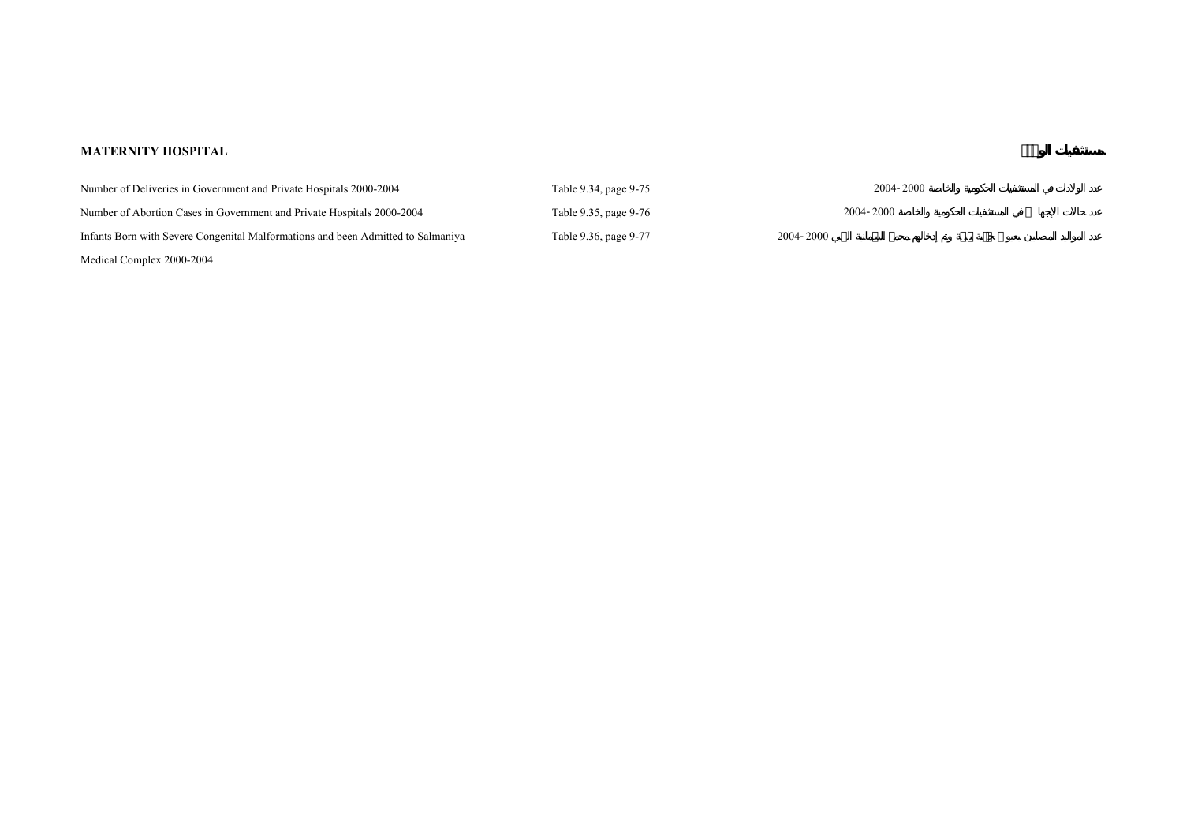## **MATERNITY HOSPITAL**

| Number of Deliveries in Government and Private Hospitals 2000-2004               | Table 9.34, page 9-75 | 2004-2000 |
|----------------------------------------------------------------------------------|-----------------------|-----------|
| Number of Abortion Cases in Government and Private Hospitals 2000-2004           | Table 9.35, page 9-76 | 2004-2000 |
| Infants Born with Severe Congenital Malformations and been Admitted to Salmaniya | Table 9.36, page 9-77 | 2004-2000 |
| Medical Complex 2000-2004                                                        |                       |           |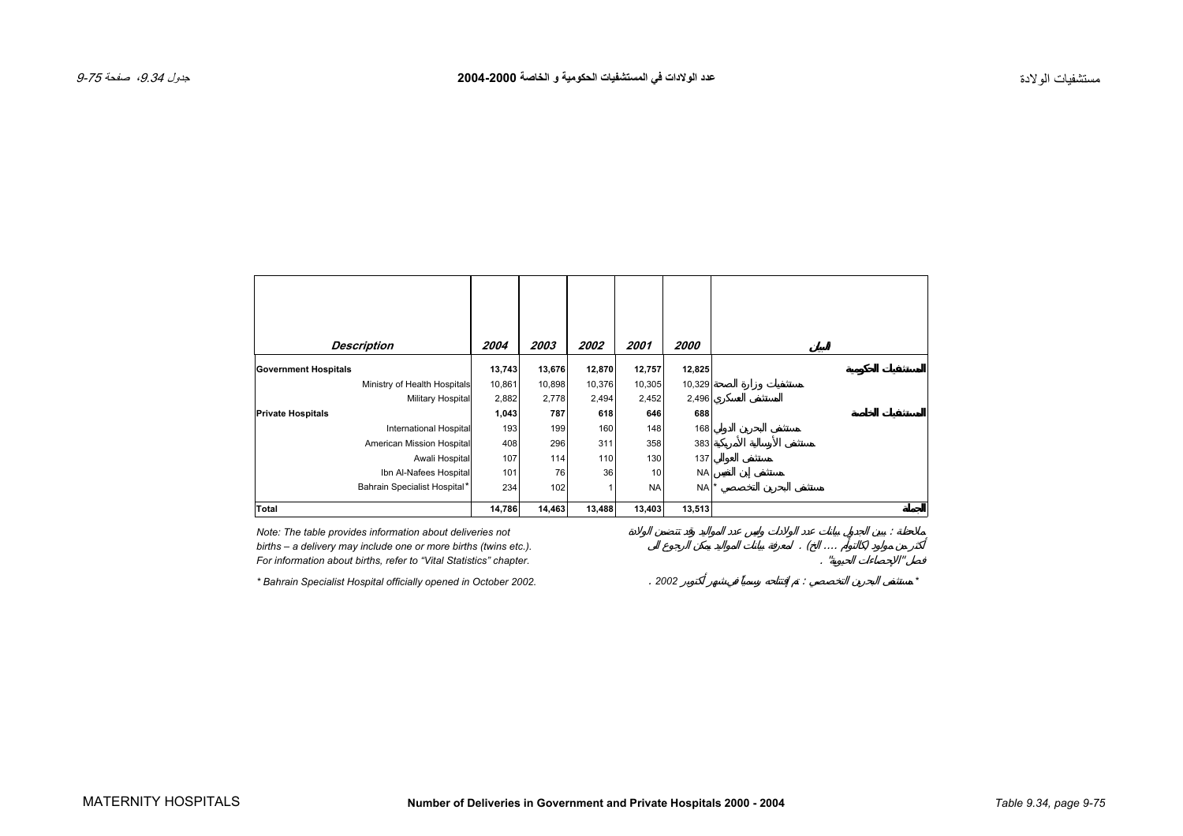<span id="page-1-0"></span>

| <b>Description</b>           | 2004   | 2003   | 2002   | 2001      | 2000      |
|------------------------------|--------|--------|--------|-----------|-----------|
| <b>Government Hospitals</b>  | 13,743 | 13,676 | 12,870 | 12,757    | 12,825    |
| Ministry of Health Hospitals | 10,861 | 10,898 | 10,376 | 10,305    | 10,329    |
| Military Hospital            | 2,882  | 2,778  | 2,494  | 2,452     | 2,496     |
| <b>Private Hospitals</b>     | 1,043  | 787    | 618    | 646       | 688       |
| International Hospital       | 193    | 199    | 160    | 148       | 168       |
| American Mission Hospital    | 408    | 296    | 311    | 358       | 383       |
| Awali Hospital               | 107    | 114    | 110    | 130       | 137       |
| Ibn Al-Nafees Hospital       | 101    | 76     | 36     | 10        | <b>NA</b> |
| Bahrain Specialist Hospital* | 234    | 102    | 1      | <b>NA</b> | <b>NA</b> |
| <b>Total</b>                 | 14,786 | 14,463 | 13,488 | 13,403    | 13,513    |

Prote: The table provides information about deliveries not<br>
births – a delivery may include one or more births (twins etc.).<br>
For information about births, refer to "Vital Statistics" chapter.<br>
\* Bahrain Specialist Hospita births – a delivery may include one or more births (twins etc.). For information about births, refer to "Vital Statistics" chapter.

*\* Bahrain Specialist Hospital officially opened in October 2002.* . *2002* : *\**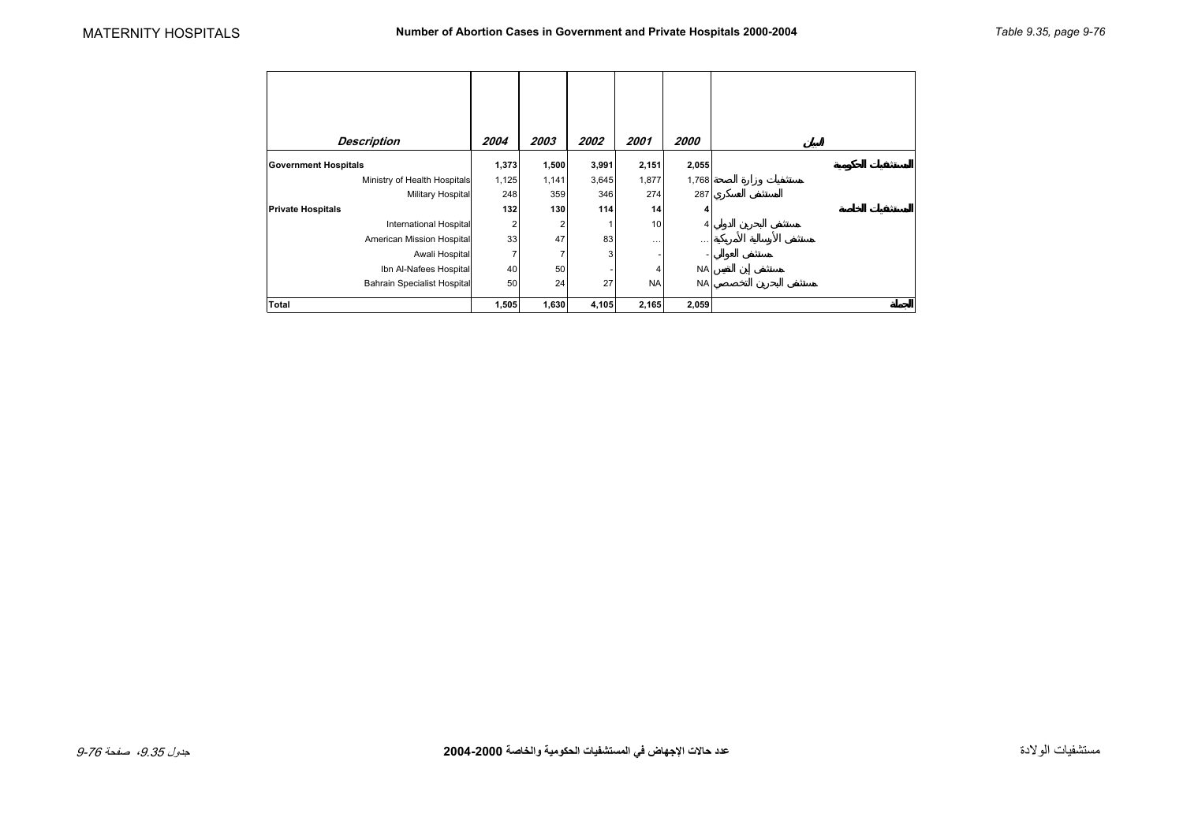<span id="page-2-0"></span>

| <b>Description</b>                 | 2004  | 2003  | 2002  | 2001      | 2000      |
|------------------------------------|-------|-------|-------|-----------|-----------|
| <b>Government Hospitals</b>        | 1,373 | 1,500 | 3,991 | 2,151     | 2,055     |
| Ministry of Health Hospitals       | 1,125 | 1,141 | 3,645 | 1,877     | 1,768     |
| Military Hospital                  | 248   | 359   | 346   | 274       | 287       |
| <b>Private Hospitals</b>           | 132   | 130   | 114   | 14        | 4         |
| <b>International Hospital</b>      | 2     | 2     |       | 10        | 4         |
| American Mission Hospital          | 33    | 47    | 83    | $\cdots$  |           |
| Awali Hospital                     | 7     |       | 3     |           |           |
| Ibn Al-Nafees Hospital             | 40    | 50    |       | 4         | <b>NA</b> |
| <b>Bahrain Specialist Hospital</b> | 50    | 24    | 27    | <b>NA</b> | <b>NA</b> |
| Total                              | 1,505 | 1,630 | 4,105 | 2,165     | 2,059     |